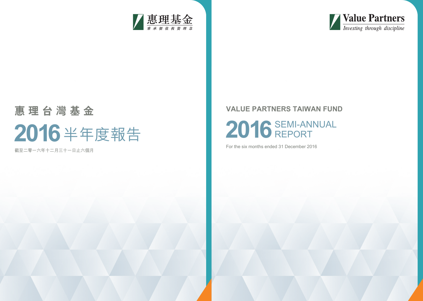

# **2016** SEMI-ANNUAL REPORT

For the six months ended 31 December 2016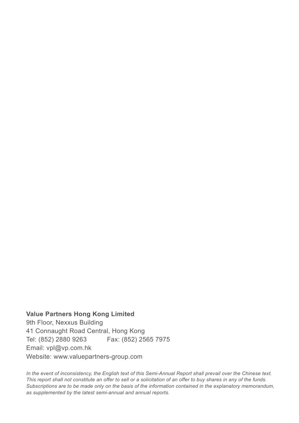**Value Partners Hong Kong Limited** 9th Floor, Nexxus Building 41 Connaught Road Central, Hong Kong Tel: (852) 2880 9263 Fax: (852) 2565 7975 Email: vpl@vp.com.hk Website: www.valuepartners-group.com

In the event of inconsistency, the English text of this Semi-Annual Report shall prevail over the Chinese text. *This report shall not constitute an offer to sell or a solicitation of an offer to buy shares in any of the funds. Subscriptions are to be made only on the basis of the information contained in the explanatory memorandum, as supplemented by the latest semi-annual and annual reports.*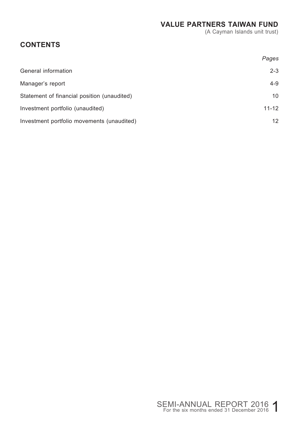(A Cayman Islands unit trust)

## **CONTENTS**

|                                             | Pages           |
|---------------------------------------------|-----------------|
| General information                         | $2 - 3$         |
| Manager's report                            | $4 - 9$         |
| Statement of financial position (unaudited) | 10              |
| Investment portfolio (unaudited)            | $11 - 12$       |
| Investment portfolio movements (unaudited)  | 12 <sup>2</sup> |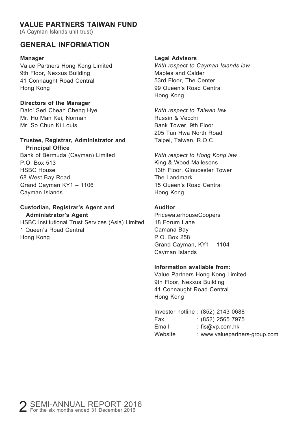(A Cayman Islands unit trust)

#### **GENERAL INFORMATION**

#### **Manager**

Value Partners Hong Kong Limited 9th Floor, Nexxus Building 41 Connaught Road Central Hong Kong

#### **Directors of the Manager**

Dato' Seri Cheah Cheng Hye Mr. Ho Man Kei, Norman Mr. So Chun Ki Louis

#### **Trustee, Registrar, Administrator and Principal Office**

Bank of Bermuda (Cayman) Limited P.O. Box 513 HSBC House 68 West Bay Road Grand Cayman KY1 – 1106 Cayman Islands

#### **Custodian, Registrar's Agent and Administrator's Agent**

HSBC Institutional Trust Services (Asia) Limited 1 Queen's Road Central Hong Kong

#### **Legal Advisors**

*With respect to Cayman Islands law* Maples and Calder 53rd Floor, The Center 99 Queen's Road Central Hong Kong

*With respect to Taiwan law* Russin & Vecchi Bank Tower, 9th Floor 205 Tun Hwa North Road Taipei, Taiwan, R.O.C.

*With respect to Hong Kong law* King & Wood Mallesons 13th Floor, Gloucester Tower The Landmark 15 Queen's Road Central Hong Kong

#### **Auditor**

PricewaterhouseCoopers 18 Forum Lane Camana Bay P.O. Box 258 Grand Cayman, KY1 – 1104 Cayman Islands

#### **Information available from:**

Value Partners Hong Kong Limited 9th Floor, Nexxus Building 41 Connaught Road Central Hong Kong

|         | Investor hotline: (852) 2143 0688 |
|---------|-----------------------------------|
| Fax     | $: (852)$ 2565 7975               |
| Email   | : $f$ is@vp.com.hk                |
| Website | : www.valuepartners-group.com     |
|         |                                   |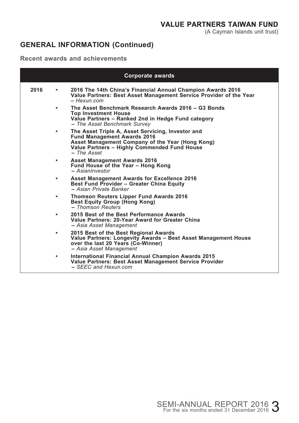## **GENERAL INFORMATION (Continued)**

#### **Recent awards and achievements**

|      |           | Corporate awards                                                                                                                                                                                             |
|------|-----------|--------------------------------------------------------------------------------------------------------------------------------------------------------------------------------------------------------------|
| 2016 | $\bullet$ | 2016 The 14th China's Financial Annual Champion Awards 2016<br>Value Partners: Best Asset Management Service Provider of the Year<br>$-$ Hexun com                                                           |
|      |           | The Asset Benchmark Research Awards 2016 - G3 Bonds<br><b>Top Investment House</b><br>Value Partners - Ranked 2nd in Hedge Fund category<br>- The Asset Benchmark Survey                                     |
|      | ٠         | The Asset Triple A, Asset Servicing, Investor and<br><b>Fund Management Awards 2016</b><br>Asset Management Company of the Year (Hong Kong)<br>Value Partners - Highly Commended Fund House<br>$-$ The Asset |
|      | $\bullet$ | <b>Asset Management Awards 2016</b><br>Fund House of the Year - Hong Kong<br>$- Asian lowestor$                                                                                                              |
|      |           | Asset Management Awards for Excellence 2016<br>Best Fund Provider - Greater China Equity<br>- Asian Private Banker                                                                                           |
|      | ٠         | <b>Thomson Reuters Lipper Fund Awards 2016</b><br>Best Equity Group (Hong Kong)<br>- Thomson Reuters                                                                                                         |
|      | $\bullet$ | 2015 Best of the Best Performance Awards<br>Value Partners: 20-Year Award for Greater China<br>- Asia Asset Management                                                                                       |
|      | ٠         | 2015 Best of the Best Regional Awards<br>Value Partners: Longevity Awards – Best Asset Management House<br>over the last 20 Years (Co-Winner)<br>- Asia Asset Management                                     |
|      | $\bullet$ | International Financial Annual Champion Awards 2015<br>Value Partners: Best Asset Management Service Provider<br>– SEEC and Hexun.com                                                                        |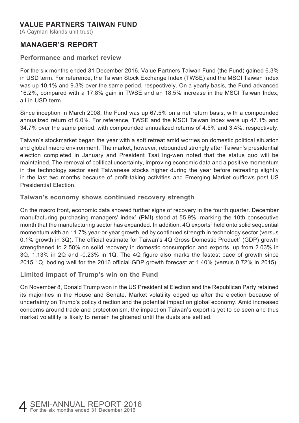(A Cayman Islands unit trust)

#### **MANAGER'S REPORT**

#### **Performance and market review**

For the six months ended 31 December 2016, Value Partners Taiwan Fund (the Fund) gained 6.3% in USD term. For reference, the Taiwan Stock Exchange Index (TWSE) and the MSCI Taiwan Index was up 10.1% and 9.3% over the same period, respectively. On a yearly basis, the Fund advanced 16.2%, compared with a 17.8% gain in TWSE and an 18.5% increase in the MSCI Taiwan Index, all in USD term.

Since inception in March 2008, the Fund was up 67.5% on a net return basis, with a compounded annualized return of 6.0%. For reference, TWSE and the MSCI Taiwan Index were up 47.1% and 34.7% over the same period, with compounded annualized returns of 4.5% and 3.4%, respectively.

Taiwan's stockmarket began the year with a soft retreat amid worries on domestic political situation and global macro environment. The market, however, rebounded strongly after Taiwan's presidential election completed in January and President Tsai Ing-wen noted that the status quo will be maintained. The removal of political uncertainty, improving economic data and a positive momentum in the technology sector sent Taiwanese stocks higher during the year before retreating slightly in the last two months because of profit-taking activities and Emerging Market outflows post US Presidential Election.

#### **Taiwan's economy shows continued recovery strength**

On the macro front, economic data showed further signs of recovery in the fourth quarter. December manufacturing purchasing managers' index<sup>1</sup> (PMI) stood at 55.9%, marking the 10th consecutive month that the manufacturing sector has expanded. In addition, 4Q exports $^{\circ}$  held onto solid sequential momentum with an 11.7% year-or-year growth led by continued strength in technology sector (versus 0.1% growth in 3Q). The official estimate for Taiwan's 4Q Gross Domestic Product<sup>3</sup> (GDP) growth strengthened to 2.58% on solid recovery in domestic consumption and exports, up from 2.03% in 3Q, 1.13% in 2Q and -0.23% in 1Q. The 4Q figure also marks the fastest pace of growth since 2015 1Q, boding well for the 2016 official GDP growth forecast at 1.40% (versus 0.72% in 2015).

#### **Limited impact of Trump's win on the Fund**

On November 8, Donald Trump won in the US Presidential Election and the Republican Party retained its majorities in the House and Senate. Market volatility edged up after the election because of uncertainty on Trump's policy direction and the potential impact on global economy. Amid increased concerns around trade and protectionism, the impact on Taiwan's export is yet to be seen and thus market volatility is likely to remain heightened until the dusts are settled.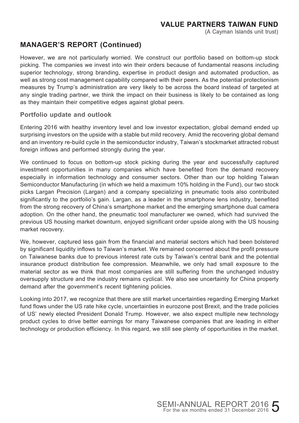(A Cayman Islands unit trust)

#### **MANAGER'S REPORT (Continued)**

However, we are not particularly worried. We construct our portfolio based on bottom-up stock picking. The companies we invest into win their orders because of fundamental reasons including superior technology, strong branding, expertise in product design and automated production, as well as strong cost management capability compared with their peers. As the potential protectionism measures by Trump's administration are very likely to be across the board instead of targeted at any single trading partner, we think the impact on their business is likely to be contained as long as they maintain their competitive edges against global peers.

#### **Portfolio update and outlook**

Entering 2016 with healthy inventory level and low investor expectation, global demand ended up surprising investors on the upside with a stable but mild recovery. Amid the recovering global demand and an inventory re-build cycle in the semiconductor industry, Taiwan's stockmarket attracted robust foreign inflows and performed strongly during the year.

We continued to focus on bottom-up stock picking during the year and successfully captured investment opportunities in many companies which have benefited from the demand recovery especially in information technology and consumer sectors. Other than our top holding Taiwan Semiconductor Manufacturing (in which we held a maximum 10% holding in the Fund), our two stock picks Largan Precision (Largan) and a company specializing in pneumatic tools also contributed significantly to the portfolio's gain. Largan, as a leader in the smartphone lens industry, benefited from the strong recovery of China's smartphone market and the emerging smartphone dual camera adoption. On the other hand, the pneumatic tool manufacturer we owned, which had survived the previous US housing market downturn, enjoyed significant order upside along with the US housing market recovery.

We, however, captured less gain from the financial and material sectors which had been bolstered by significant liquidity inflows to Taiwan's market. We remained concerned about the profit pressure on Taiwanese banks due to previous interest rate cuts by Taiwan's central bank and the potential insurance product distribution fee compression. Meanwhile, we only had small exposure to the material sector as we think that most companies are still suffering from the unchanged industry oversupply structure and the industry remains cyclical. We also see uncertainty for China property demand after the government's recent tightening policies.

Looking into 2017, we recognize that there are still market uncertainties regarding Emerging Market fund flows under the US rate hike cycle, uncertainties in eurozone post Brexit, and the trade policies of US' newly elected President Donald Trump. However, we also expect multiple new technology product cycles to drive better earnings for many Taiwanese companies that are leading in either technology or production efficiency. In this regard, we still see plenty of opportunities in the market.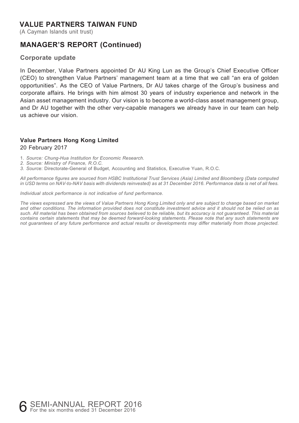(A Cayman Islands unit trust)

#### **MANAGER'S REPORT (Continued)**

#### **Corporate update**

In December, Value Partners appointed Dr AU King Lun as the Group's Chief Executive Officer (CEO) to strengthen Value Partners' management team at a time that we call "an era of golden opportunities". As the CEO of Value Partners, Dr AU takes charge of the Group's business and corporate affairs. He brings with him almost 30 years of industry experience and network in the Asian asset management industry. Our vision is to become a world-class asset management group, and Dr AU together with the other very-capable managers we already have in our team can help us achieve our vision.

#### **Value Partners Hong Kong Limited**

20 February 2017

1. *Source: Chung-Hua Institution for Economic Research.*

*2. Source: Ministry of Finance, R.O.C.*

*3. Sourc*e: Directorate-General of Budget, Accounting and Statistics, Executive Yuan, R.O.C.

*All performance figures are sourced from HSBC Institutional Trust Services (Asia) Limited and Bloomberg (Data computed in USD terms on NAV-to-NAV basis with dividends reinvested) as at 31 December 2016. Performance data is net of all fees.*

*Individual stock performance is not indicative of fund performance.*

*The views expressed are the views of Value Partners Hong Kong Limited only and are subject to change based on market and other conditions. The information provided does not constitute investment advice and it should not be relied on as such. All material has been obtained from sources believed to be reliable, but its accuracy is not guaranteed. This material contains certain statements that may be deemed forward-looking statements. Please note that any such statements are not guarantees of any future performance and actual results or developments may differ materially from those projected.*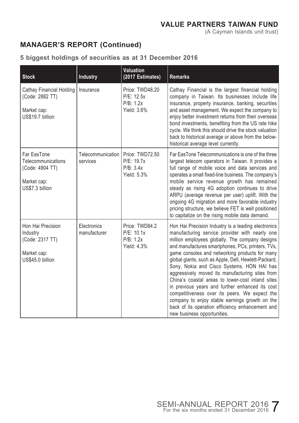## **MANAGER'S REPORT (Continued)**

#### **5 biggest holdings of securities as at 31 December 2016**

| <b>Stock</b>                                                                           | Industry                      | <b>Valuation</b><br>(2017 Estimates)                      | <b>Remarks</b>                                                                                                                                                                                                                                                                                                                                                                                                                                                                                                                                                                                                                                                                                                        |
|----------------------------------------------------------------------------------------|-------------------------------|-----------------------------------------------------------|-----------------------------------------------------------------------------------------------------------------------------------------------------------------------------------------------------------------------------------------------------------------------------------------------------------------------------------------------------------------------------------------------------------------------------------------------------------------------------------------------------------------------------------------------------------------------------------------------------------------------------------------------------------------------------------------------------------------------|
| <b>Cathay Financial Holding</b><br>(Code: 2882 TT)<br>Market cap:<br>US\$19.7 billion  | Insurance                     | Price: TWD48.20<br>P/E: 12.5x<br>P/B: 1.2x<br>Yield: 3.6% | Cathay Financial is the largest financial holding<br>company in Taiwan. Its businesses include life<br>insurance, property insurance, banking, securities<br>and asset management. We expect the company to<br>enjoy better investment returns from their overseas<br>bond investments, benefiting from the US rate hike<br>cycle. We think this should drive the stock valuation<br>back to historical average or above from the below-<br>historical average level currently.                                                                                                                                                                                                                                       |
| Far EasTone<br>Telecommunications<br>(Code: 4904 TT)<br>Market cap:<br>US\$7.3 billion | Telecommunication<br>services | Price: TWD72.50<br>P/E: 19.7x<br>P/B: 3.4x<br>Yield: 5.3% | Far EasTone Telecommunications is one of the three<br>largest telecom operators in Taiwan. It provides a<br>full range of mobile voice and data services and<br>operates a small fixed-line business. The company's<br>mobile service revenue growth has remained<br>steady as rising 4G adoption continues to drive<br>ARPU (average revenue per user) uplift. With the<br>ongoing 4G migration and more favorable industry<br>pricing structure, we believe FET is well positioned<br>to capitalize on the rising mobile data demand.                                                                                                                                                                               |
| Hon Hai Precision<br>Industry<br>(Code: 2317 TT)<br>Market cap:<br>US\$45.0 billion    | Electronics<br>manufacturer   | Price: TWD84.2<br>P/E: 10.1x<br>P/B: 1.2x<br>Yield: 4.3%  | Hon Hai Precision Industry is a leading electronics<br>manufacturing service provider with nearly one<br>million employees globally. The company designs<br>and manufactures smartphones, PCs, printers, TVs,<br>game consoles and networking products for many<br>global giants, such as Apple, Dell, Hewlett-Packard,<br>Sony, Nokia and Cisco Systems. HON HAI has<br>aggressively moved its manufacturing sites from<br>China's coastal areas to lower-cost inland sites<br>in previous years and further enhanced its cost<br>competitiveness over its peers. We expect the<br>company to enjoy stable earnings growth on the<br>back of its operation efficiency enhancement and<br>new business opportunities. |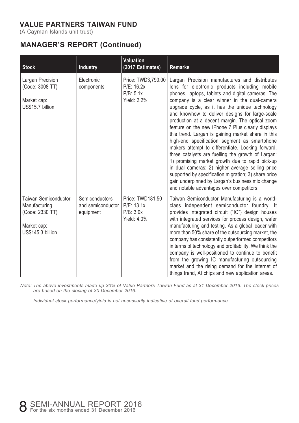(A Cayman Islands unit trust)

## **MANAGER'S REPORT (Continued)**

| <b>Stock</b>                                                                                 | Industry                                         | <b>Valuation</b><br>(2017 Estimates)                         | <b>Remarks</b>                                                                                                                                                                                                                                                                                                                                                                                                                                                                                                                                                                                                                                                                                                                                                                                                                                                                                  |
|----------------------------------------------------------------------------------------------|--------------------------------------------------|--------------------------------------------------------------|-------------------------------------------------------------------------------------------------------------------------------------------------------------------------------------------------------------------------------------------------------------------------------------------------------------------------------------------------------------------------------------------------------------------------------------------------------------------------------------------------------------------------------------------------------------------------------------------------------------------------------------------------------------------------------------------------------------------------------------------------------------------------------------------------------------------------------------------------------------------------------------------------|
| Largan Precision<br>(Code: 3008 TT)<br>Market cap:<br>US\$15.7 billion                       | Electronic<br>components                         | Price: TWD3,790.00<br>P/E: 16.2x<br>P/B: 5.1x<br>Yield: 2.2% | Largan Precision manufactures and distributes<br>lens for electronic products including mobile<br>phones, laptops, tablets and digital cameras. The<br>company is a clear winner in the dual-camera<br>upgrade cycle, as it has the unique technology<br>and knowhow to deliver designs for large-scale<br>production at a decent margin. The optical zoom<br>feature on the new iPhone 7 Plus clearly displays<br>this trend. Largan is gaining market share in this<br>high-end specification segment as smartphone<br>makers attempt to differentiate. Looking forward,<br>three catalysts are fuelling the growth of Largan:<br>1) promising market growth due to rapid pick-up<br>in dual cameras; 2) higher average selling price<br>supported by specification migration; 3) share price<br>gain underpinned by Largan's business mix change<br>and notable advantages over competitors. |
| Taiwan Semiconductor<br>Manufacturing<br>(Code: 2330 TT)<br>Market cap:<br>US\$145.3 billion | Semiconductors<br>and semiconductor<br>equipment | Price: TWD181.50<br>P/E: 13.1x<br>P/B: 3.0x<br>Yield: 4.0%   | Taiwan Semiconductor Manufacturing is a world-<br>class independent semiconductor foundry. It<br>provides integrated circuit ("IC") design houses<br>with integrated services for process design, wafer<br>manufacturing and testing. As a global leader with<br>more than 50% share of the outsourcing market, the<br>company has consistently outperformed competitors<br>in terms of technology and profitability. We think the<br>company is well-positioned to continue to benefit<br>from the growing IC manufacturing outsourcing<br>market and the rising demand for the internet of<br>things trend. AI chips and new application areas.                                                                                                                                                                                                                                               |

*Note: The above investments made up 30% of Value Partners Taiwan Fund as at 31 December 2016. The stock prices are based on the closing of 30 December 2016.*

*Individual stock performance/yield is not necessarily indicative of overall fund performance.*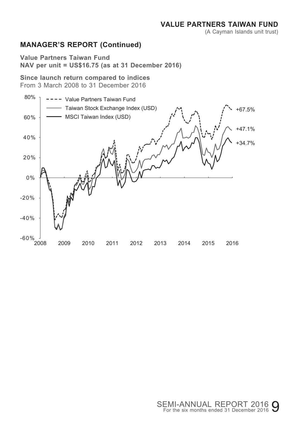(A Cayman Islands unit trust)

## **MANAGER'S REPORT (Continued)**

**Value Partners Taiwan Fund NAV per unit = US\$16.75 (as at 31 December 2016)**

**Since launch return compared to indices** From 3 March 2008 to 31 December 2016

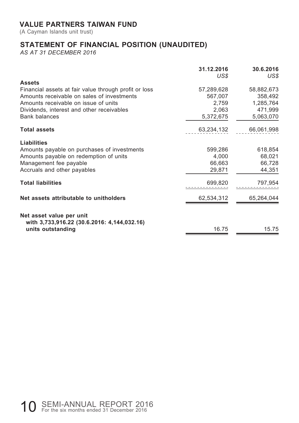(A Cayman Islands unit trust)

## **STATEMENT OF FINANCIAL POSITION (UNAUDITED)**

*AS AT 31 DECEMBER 2016*

|                                                                  | 31.12.2016<br>US\$ | 30.6.2016<br>US\$ |
|------------------------------------------------------------------|--------------------|-------------------|
| <b>Assets</b>                                                    |                    |                   |
| Financial assets at fair value through profit or loss            | 57,289,628         | 58,882,673        |
| Amounts receivable on sales of investments                       | 567,007            | 358,492           |
| Amounts receivable on issue of units                             | 2,759              | 1,285,764         |
| Dividends, interest and other receivables                        | 2,063              | 471,999           |
| <b>Bank balances</b>                                             | 5,372,675          | 5,063,070         |
| <b>Total assets</b>                                              | 63,234,132         | 66,061,998        |
| <b>Liabilities</b>                                               |                    |                   |
| Amounts payable on purchases of investments                      | 599,286            | 618,854           |
| Amounts payable on redemption of units                           | 4,000              | 68,021            |
| Management fee payable                                           | 66,663             | 66,728            |
| Accruals and other payables                                      | 29,871             | 44,351            |
| <b>Total liabilities</b>                                         | 699.820            | 797,954           |
| Net assets attributable to unitholders                           | 62,534,312         | 65,264,044        |
| Net asset value per unit                                         |                    |                   |
| with 3,733,916.22 (30.6.2016: 4,144,032.16)<br>units outstanding | 16.75              | 15.75             |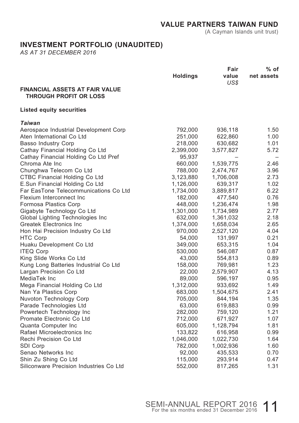(A Cayman Islands unit trust)

#### **INVESTMENT PORTFOLIO (UNAUDITED)**

*AS AT 31 DECEMBER 2016*

|                                                                        |                 | Fair          | % of       |
|------------------------------------------------------------------------|-----------------|---------------|------------|
|                                                                        | <b>Holdings</b> | value<br>US\$ | net assets |
| <b>FINANCIAL ASSETS AT FAIR VALUE</b><br><b>THROUGH PROFIT OR LOSS</b> |                 |               |            |
| <b>Listed equity securities</b>                                        |                 |               |            |
| Taiwan                                                                 |                 |               |            |
| Aerospace Industrial Development Corp                                  | 792,000         | 936,118       | 1.50       |
| Aten International Co Ltd                                              | 251,000         | 622,860       | 1.00       |
| <b>Basso Industry Corp</b>                                             | 218,000         | 630,682       | 1.01       |
| Cathay Financial Holding Co Ltd                                        | 2,399,000       | 3,577,827     | 5.72       |
| Cathay Financial Holding Co Ltd Pref                                   | 95,937          |               |            |
| Chroma Ate Inc                                                         | 660,000         | 1,539,775     | 2.46       |
| Chunghwa Telecom Co Ltd                                                | 788,000         | 2,474,767     | 3.96       |
| CTBC Financial Holding Co Ltd                                          | 3,123,880       | 1,706,008     | 2.73       |
| E.Sun Financial Holding Co Ltd                                         | 1,126,000       | 639,317       | 1.02       |
| Far EasTone Telecommunications Co Ltd                                  | 1,734,000       | 3,889,817     | 6.22       |
| Flexium Interconnect Inc                                               | 182,000         | 477,540       | 0.76       |
| Formosa Plastics Corp                                                  | 448,000         | 1,236,474     | 1.98       |
| Gigabyte Technology Co Ltd                                             | 1,301,000       | 1,734,989     | 2.77       |
| Global Lighting Technologies Inc.                                      | 632,000         | 1,361,032     | 2.18       |
| <b>Greatek Electronics Inc</b>                                         | 1,374,000       | 1,658,034     | 2.65       |
| Hon Hai Precision Industry Co Ltd                                      | 970,000         | 2,527,120     | 4.04       |
| <b>HTC Corp</b>                                                        | 54,000          | 131,997       | 0.21       |
| Huaku Development Co Ltd                                               | 349,000         | 653,315       | 1.04       |
| <b>ITEQ Corp</b>                                                       | 530,000         | 546,087       | 0.87       |
| King Slide Works Co Ltd                                                | 43,000          | 554,813       | 0.89       |
| Kung Long Batteries Industrial Co Ltd                                  | 158,000         | 769,981       | 1.23       |
| Largan Precision Co Ltd                                                | 22,000          | 2,579,907     | 4.13       |
| MediaTek Inc                                                           | 89,000          | 596,197       | 0.95       |
| Mega Financial Holding Co Ltd                                          | 1,312,000       | 933,692       | 1.49       |
| Nan Ya Plastics Corp                                                   | 683,000         | 1,504,675     | 2.41       |
| Nuvoton Technology Corp                                                | 705,000         | 844,194       | 1.35       |
| Parade Technologies Ltd                                                | 63,000          | 619,883       | 0.99       |
| Powertech Technology Inc                                               | 282,000         | 759,120       | 1.21       |
| Promate Electronic Co Ltd                                              | 712,000         | 671,927       | 1.07       |
| Quanta Computer Inc                                                    | 605,000         | 1,128,794     | 1.81       |
| Rafael Microelectronics Inc                                            | 133,822         | 616,958       | 0.99       |
| Rechi Precision Co Ltd                                                 | 1,046,000       | 1,022,730     | 1.64       |
| SDI Corp                                                               | 782,000         | 1,002,936     | 1.60       |
| Senao Networks Inc                                                     | 92,000          | 435,533       | 0.70       |
| Shin Zu Shing Co Ltd                                                   | 115,000         | 293,914       | 0.47       |
| Siliconware Precision Industries Co Ltd                                | 552,000         | 817,265       | 1.31       |